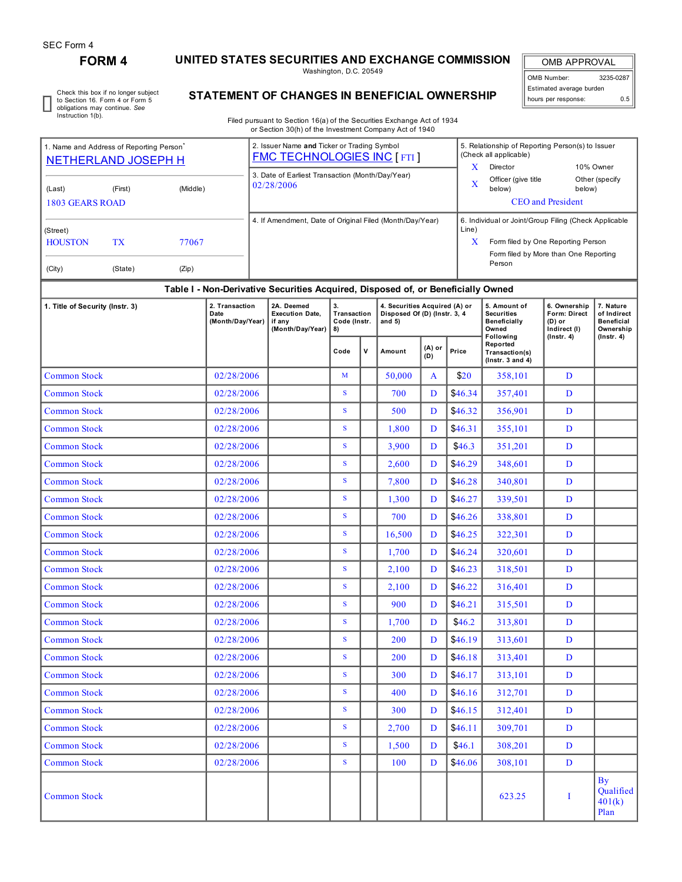## **FORM 4 UNITED STATES SECURITIES AND EXCHANGE COMMISSION**

Washington, D.C. 20549

OMB APPROVAL OMB Number: 3235-0287 Estimated average burden hours per response: 0.5

> By Qualified 401(k) Plan<sup>1</sup>

Check this box if no longer subject to Section 16. Form 4 or Form 5 obligations may continue. *See* Instruction 1(b).

## **STATEMENT OF CHANGES IN BENEFICIAL OWNERSHIP**

Filed pursuant to Section 16(a) of the Securities Exchange Act of 1934 or Section 30(h) of the Investment Company Act of 1940

|                                                                                |                                               |  |                                                                                  |      | or Section 30(h) of the Investment Company Act of 1940                           |                                         |               |                                                                            |                                                                  |                                                                                                                                                     |                                                            |                                                        |                                                            |  |
|--------------------------------------------------------------------------------|-----------------------------------------------|--|----------------------------------------------------------------------------------|------|----------------------------------------------------------------------------------|-----------------------------------------|---------------|----------------------------------------------------------------------------|------------------------------------------------------------------|-----------------------------------------------------------------------------------------------------------------------------------------------------|------------------------------------------------------------|--------------------------------------------------------|------------------------------------------------------------|--|
| 1. Name and Address of Reporting Person                                        | <b>NETHERLAND JOSEPH H</b>                    |  | 2. Issuer Name and Ticker or Trading Symbol<br><b>FMC TECHNOLOGIES INC [FTI]</b> |      |                                                                                  |                                         |               | 5. Relationship of Reporting Person(s) to Issuer<br>(Check all applicable) |                                                                  |                                                                                                                                                     |                                                            |                                                        |                                                            |  |
| (Last)                                                                         | (Middle)<br>(First)<br><b>1803 GEARS ROAD</b> |  |                                                                                  |      | 3. Date of Earliest Transaction (Month/Day/Year)<br>02/28/2006                   |                                         |               |                                                                            | $\mathbf{x}$<br>X                                                | 10% Owner<br>Director<br>Officer (give title<br>below)<br>below)<br><b>CEO</b> and President                                                        |                                                            | Other (specify                                         |                                                            |  |
| (Street)<br><b>HOUSTON</b><br><b>TX</b><br>77067<br>(Zip)<br>(City)<br>(State) |                                               |  |                                                                                  |      | 4. If Amendment, Date of Original Filed (Month/Day/Year)                         |                                         |               |                                                                            | Line)                                                            | 6. Individual or Joint/Group Filing (Check Applicable<br>X<br>Form filed by One Reporting Person<br>Form filed by More than One Reporting<br>Person |                                                            |                                                        |                                                            |  |
|                                                                                |                                               |  |                                                                                  |      | Table I - Non-Derivative Securities Acquired, Disposed of, or Beneficially Owned |                                         |               |                                                                            |                                                                  |                                                                                                                                                     |                                                            |                                                        |                                                            |  |
| 1. Title of Security (Instr. 3)                                                |                                               |  | 2. Transaction<br>Date<br>(Month/Day/Year)                                       |      | 2A. Deemed<br><b>Execution Date,</b><br>if any<br>(Month/Day/Year)               | 3.<br>Transaction<br>Code (Instr.<br>8) |               | 4. Securities Acquired (A) or<br>Disposed Of (D) (Instr. 3, 4<br>and $5)$  |                                                                  |                                                                                                                                                     | 5. Amount of<br><b>Securities</b><br>Beneficially<br>Owned | 6. Ownership<br>Form: Direct<br>(D) or<br>Indirect (I) | 7. Nature<br>of Indirect<br><b>Beneficial</b><br>Ownership |  |
|                                                                                |                                               |  |                                                                                  | Code | $\mathbf v$                                                                      | Amount                                  | (A) or<br>(D) | Price                                                                      | Following<br>Reported<br>Transaction(s)<br>(Instr. $3$ and $4$ ) | $($ Instr. 4 $)$                                                                                                                                    | $($ Instr. 4 $)$                                           |                                                        |                                                            |  |
| <b>Common Stock</b>                                                            |                                               |  | 02/28/2006                                                                       |      |                                                                                  | M                                       |               | 50,000                                                                     | $\mathbf{A}$                                                     | \$20                                                                                                                                                | 358,101                                                    | D                                                      |                                                            |  |
| <b>Common Stock</b>                                                            |                                               |  | 02/28/2006                                                                       |      |                                                                                  | S                                       |               | 700                                                                        | D                                                                | \$46.34                                                                                                                                             | 357,401                                                    | D                                                      |                                                            |  |
| <b>Common Stock</b>                                                            |                                               |  | 02/28/2006                                                                       |      |                                                                                  | $\mathbf{s}$                            |               | 500                                                                        | D                                                                | \$46.32                                                                                                                                             | 356,901                                                    | D                                                      |                                                            |  |
| <b>Common Stock</b>                                                            |                                               |  | 02/28/2006                                                                       |      |                                                                                  | S                                       |               | 1.800                                                                      | D                                                                | \$46.31                                                                                                                                             | 355,101                                                    | D                                                      |                                                            |  |
| <b>Common Stock</b>                                                            |                                               |  | 02/28/2006                                                                       |      |                                                                                  | S                                       |               | 3,900                                                                      | D                                                                | \$46.3\$                                                                                                                                            | 351,201                                                    | D                                                      |                                                            |  |
| <b>Common Stock</b>                                                            |                                               |  | 02/28/2006                                                                       |      |                                                                                  | ${\bf S}$                               |               | 2,600                                                                      | D                                                                | \$46.29                                                                                                                                             | 348,601                                                    | D                                                      |                                                            |  |
| <b>Common Stock</b>                                                            |                                               |  | 02/28/2006                                                                       |      |                                                                                  | ${\bf S}$                               |               | 7,800                                                                      | D                                                                | \$46.28                                                                                                                                             | 340,801                                                    | D                                                      |                                                            |  |
| <b>Common Stock</b>                                                            |                                               |  | 02/28/2006                                                                       |      |                                                                                  | S                                       |               | 1,300                                                                      | D                                                                | \$46.27                                                                                                                                             | 339,501                                                    | D                                                      |                                                            |  |
| <b>Common Stock</b>                                                            |                                               |  | 02/28/2006                                                                       |      |                                                                                  | ${\bf S}$                               |               | 700                                                                        | D                                                                | \$46.26                                                                                                                                             | 338,801                                                    | D                                                      |                                                            |  |
| <b>Common Stock</b>                                                            |                                               |  | 02/28/2006                                                                       |      |                                                                                  | $\mathbf{s}$                            |               | 16,500                                                                     | D                                                                | \$46.25                                                                                                                                             | 322,301                                                    | D                                                      |                                                            |  |
| <b>Common Stock</b>                                                            |                                               |  | 02/28/2006                                                                       |      |                                                                                  | S                                       |               | 1,700                                                                      | D                                                                | \$46.24                                                                                                                                             | 320,601                                                    | D                                                      |                                                            |  |
| <b>Common Stock</b>                                                            |                                               |  | 02/28/2006                                                                       |      |                                                                                  | S                                       |               | 2,100                                                                      | D                                                                | \$46.23                                                                                                                                             | 318,501                                                    | D                                                      |                                                            |  |
| <b>Common Stock</b>                                                            |                                               |  | 02/28/2006                                                                       |      |                                                                                  | S                                       |               | 2,100                                                                      | D                                                                | \$46.22                                                                                                                                             | 316,401                                                    | D                                                      |                                                            |  |
| <b>Common Stock</b>                                                            |                                               |  | 02/28/2006                                                                       |      |                                                                                  | S                                       |               | 900                                                                        | D                                                                | \$46.21                                                                                                                                             | 315,501                                                    | D                                                      |                                                            |  |
| <b>Common Stock</b>                                                            |                                               |  | 02/28/2006                                                                       |      |                                                                                  | ${\bf S}$                               |               | 1,700                                                                      | D                                                                | \$46.2\$                                                                                                                                            | 313,801                                                    | D                                                      |                                                            |  |
| <b>Common Stock</b>                                                            |                                               |  | 02/28/2006                                                                       |      |                                                                                  | S                                       |               | 200                                                                        | D                                                                | \$46.19                                                                                                                                             | 313,601                                                    | D                                                      |                                                            |  |
| <b>Common Stock</b>                                                            |                                               |  | 02/28/2006                                                                       |      |                                                                                  | $\mathbf{s}$                            |               | 200                                                                        | D                                                                | \$46.18                                                                                                                                             | 313,401                                                    | D                                                      |                                                            |  |

Common Stock 02/28/2006 S 300 D \$46.17 313,101 D Common Stock 02/28/2006 S 312,701 D Common Stock 02/28/2006 S 312,401 D Common Stock 02/28/2006 S 2,700 D \$46.11 309,701 D Common Stock 1988 20228/2006 S 1,500 D \$46.1 308,201 D Common Stock  $02/28/2006$  S 100 D \$46.06 308,101 D

Common Stock I and Stock I and Stock I and Stock I and Stock I and Stock I and Stock I and Stock I and Stock I and Stock I and Stock I and Stock I and Stock I and Stock I and Stock I and Stock I and Stock I and Stock I and